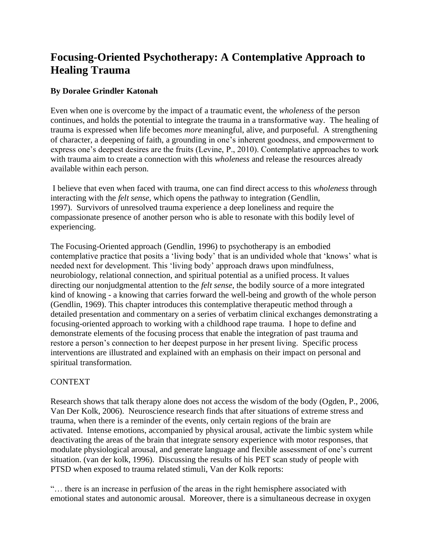# **Focusing-Oriented Psychotherapy: A Contemplative Approach to Healing Trauma**

## **By Doralee Grindler Katonah**

Even when one is overcome by the impact of a traumatic event, the *wholeness* of the person continues, and holds the potential to integrate the trauma in a transformative way. The healing of trauma is expressed when life becomes *more* meaningful, alive, and purposeful. A strengthening of character, a deepening of faith, a grounding in one's inherent goodness, and empowerment to express one's deepest desires are the fruits (Levine, P., 2010). Contemplative approaches to work with trauma aim to create a connection with this *wholeness* and release the resources already available within each person.

I believe that even when faced with trauma, one can find direct access to this *wholeness* through interacting with the *felt sense,* which opens the pathway to integration (Gendlin, 1997). Survivors of unresolved trauma experience a deep loneliness and require the compassionate presence of another person who is able to resonate with this bodily level of experiencing.

The Focusing-Oriented approach (Gendlin, 1996) to psychotherapy is an embodied contemplative practice that posits a 'living body' that is an undivided whole that 'knows' what is needed next for development. This 'living body' approach draws upon mindfulness, neurobiology, relational connection, and spiritual potential as a unified process. It values directing our nonjudgmental attention to the *felt sense*, the bodily source of a more integrated kind of knowing - a knowing that carries forward the well-being and growth of the whole person (Gendlin, 1969). This chapter introduces this contemplative therapeutic method through a detailed presentation and commentary on a series of verbatim clinical exchanges demonstrating a focusing-oriented approach to working with a childhood rape trauma. I hope to define and demonstrate elements of the focusing process that enable the integration of past trauma and restore a person's connection to her deepest purpose in her present living. Specific process interventions are illustrated and explained with an emphasis on their impact on personal and spiritual transformation.

## **CONTEXT**

Research shows that talk therapy alone does not access the wisdom of the body (Ogden, P., 2006, Van Der Kolk, 2006). Neuroscience research finds that after situations of extreme stress and trauma, when there is a reminder of the events, only certain regions of the brain are activated. Intense emotions, accompanied by physical arousal, activate the limbic system while deactivating the areas of the brain that integrate sensory experience with motor responses, that modulate physiological arousal, and generate language and flexible assessment of one's current situation. (van der kolk, 1996). Discussing the results of his PET scan study of people with PTSD when exposed to trauma related stimuli, Van der Kolk reports:

"… there is an increase in perfusion of the areas in the right hemisphere associated with emotional states and autonomic arousal. Moreover, there is a simultaneous decrease in oxygen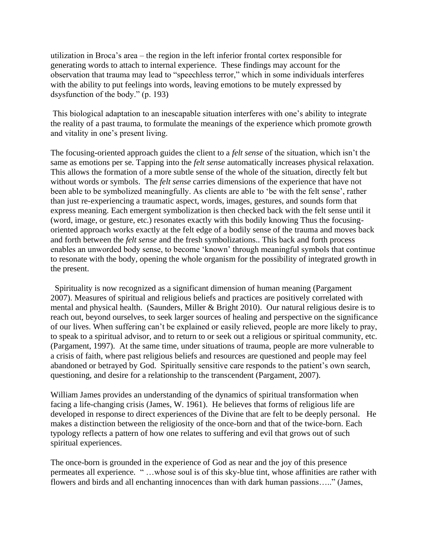utilization in Broca's area – the region in the left inferior frontal cortex responsible for generating words to attach to internal experience. These findings may account for the observation that trauma may lead to "speechless terror," which in some individuals interferes with the ability to put feelings into words, leaving emotions to be mutely expressed by dsysfunction of the body." (p. 193)

This biological adaptation to an inescapable situation interferes with one's ability to integrate the reality of a past trauma, to formulate the meanings of the experience which promote growth and vitality in one's present living.

The focusing-oriented approach guides the client to a *felt sense* of the situation, which isn't the same as emotions per se. Tapping into the *felt sense* automatically increases physical relaxation. This allows the formation of a more subtle sense of the whole of the situation, directly felt but without words or symbols. The *felt sense* carries dimensions of the experience that have not been able to be symbolized meaningfully. As clients are able to 'be with the felt sense', rather than just re-experiencing a traumatic aspect, words, images, gestures, and sounds form that express meaning. Each emergent symbolization is then checked back with the felt sense until it (word, image, or gesture, etc.) resonates exactly with this bodily knowing Thus the focusingoriented approach works exactly at the felt edge of a bodily sense of the trauma and moves back and forth between the *felt sense* and the fresh symbolizations.. This back and forth process enables an unworded body sense, to become 'known' through meaningful symbols that continue to resonate with the body, opening the whole organism for the possibility of integrated growth in the present.

 Spirituality is now recognized as a significant dimension of human meaning (Pargament 2007). Measures of spiritual and religious beliefs and practices are positively correlated with mental and physical health. (Saunders, Miller & Bright 2010). Our natural religious desire is to reach out, beyond ourselves, to seek larger sources of healing and perspective on the significance of our lives. When suffering can't be explained or easily relieved, people are more likely to pray, to speak to a spiritual advisor, and to return to or seek out a religious or spiritual community, etc. (Pargament, 1997). At the same time, under situations of trauma, people are more vulnerable to a crisis of faith, where past religious beliefs and resources are questioned and people may feel abandoned or betrayed by God. Spiritually sensitive care responds to the patient's own search, questioning, and desire for a relationship to the transcendent (Pargament, 2007).

William James provides an understanding of the dynamics of spiritual transformation when facing a life-changing crisis (James, W. 1961). He believes that forms of religious life are developed in response to direct experiences of the Divine that are felt to be deeply personal. He makes a distinction between the religiosity of the once-born and that of the twice-born. Each typology reflects a pattern of how one relates to suffering and evil that grows out of such spiritual experiences.

The once-born is grounded in the experience of God as near and the joy of this presence permeates all experience. " …whose soul is of this sky-blue tint, whose affinities are rather with flowers and birds and all enchanting innocences than with dark human passions….." (James,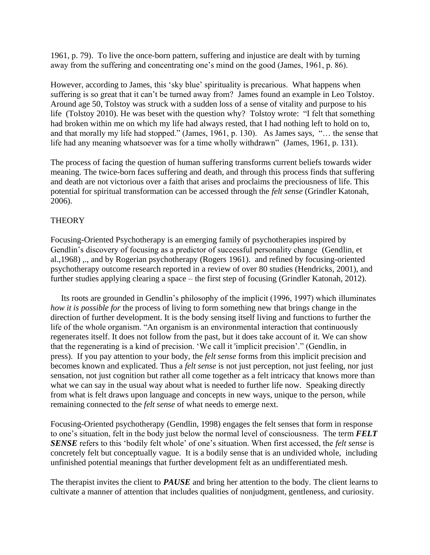1961, p. 79). To live the once-born pattern, suffering and injustice are dealt with by turning away from the suffering and concentrating one's mind on the good (James, 1961, p. 86).

However, according to James, this 'sky blue' spirituality is precarious. What happens when suffering is so great that it can't be turned away from? James found an example in Leo Tolstoy. Around age 50, Tolstoy was struck with a sudden loss of a sense of vitality and purpose to his life (Tolstoy 2010). He was beset with the question why? Tolstoy wrote: "I felt that something had broken within me on which my life had always rested, that I had nothing left to hold on to, and that morally my life had stopped." (James, 1961, p. 130). As James says, "… the sense that life had any meaning whatsoever was for a time wholly withdrawn" (James, 1961, p. 131).

The process of facing the question of human suffering transforms current beliefs towards wider meaning. The twice-born faces suffering and death, and through this process finds that suffering and death are not victorious over a faith that arises and proclaims the preciousness of life. This potential for spiritual transformation can be accessed through the *felt sense* (Grindler Katonah, 2006).

### **THEORY**

Focusing-Oriented Psychotherapy is an emerging family of psychotherapies inspired by Gendlin's discovery of focusing as a predictor of successful personality change (Gendlin, et al.,1968) ,., and by Rogerian psychotherapy (Rogers 1961). and refined by focusing-oriented psychotherapy outcome research reported in a review of over 80 studies (Hendricks, 2001), and further studies applying clearing a space – the first step of focusing (Grindler Katonah, 2012).

 Its roots are grounded in Gendlin's philosophy of the implicit (1996, 1997) which illuminates *how it is possible for* the process of living to form something new that brings change in the direction of further development. It is the body sensing itself living and functions to further the life of the whole organism. "An organism is an environmental interaction that continuously regenerates itself. It does not follow from the past, but it does take account of it. We can show that the regenerating is a kind of precision. 'We call it 'implicit precision'." (Gendlin, in press). If you pay attention to your body, the *felt sense* forms from this implicit precision and becomes known and explicated. Thus a *felt sense* is not just perception, not just feeling, nor just sensation, not just cognition but rather all come together as a felt intricacy that knows more than what we can say in the usual way about what is needed to further life now. Speaking directly from what is felt draws upon language and concepts in new ways, unique to the person, while remaining connected to the *felt sense* of what needs to emerge next.

Focusing-Oriented psychotherapy (Gendlin, 1998) engages the felt senses that form in response to one's situation, felt in the body just below the normal level of consciousness. The term *FELT SENSE* refers to this 'bodily felt whole' of one's situation. When first accessed, the *felt sense* is concretely felt but conceptually vague. It is a bodily sense that is an undivided whole, including unfinished potential meanings that further development felt as an undifferentiated mesh.

The therapist invites the client to *PAUSE* and bring her attention to the body. The client learns to cultivate a manner of attention that includes qualities of nonjudgment, gentleness, and curiosity.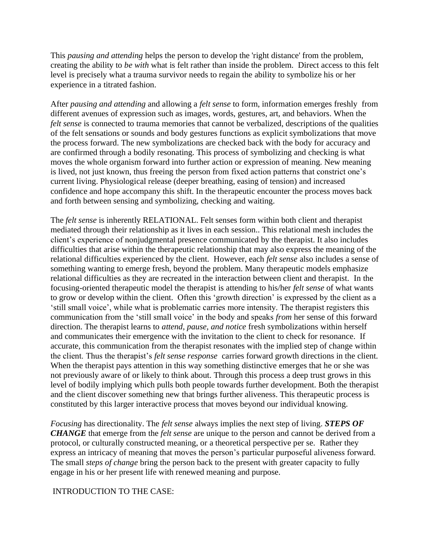This *pausing and attending* helps the person to develop the 'right distance' from the problem, creating the ability to *be with* what is felt rather than inside the problem. Direct access to this felt level is precisely what a trauma survivor needs to regain the ability to symbolize his or her experience in a titrated fashion.

After *pausing and attending* and allowing a *felt sense* to form, information emerges freshly from different avenues of expression such as images, words, gestures, art, and behaviors. When the *felt sense* is connected to trauma memories that cannot be verbalized, descriptions of the qualities of the felt sensations or sounds and body gestures functions as explicit symbolizations that move the process forward. The new symbolizations are checked back with the body for accuracy and are confirmed through a bodily resonating. This process of symbolizing and checking is what moves the whole organism forward into further action or expression of meaning. New meaning is lived, not just known, thus freeing the person from fixed action patterns that constrict one's current living. Physiological release (deeper breathing, easing of tension) and increased confidence and hope accompany this shift. In the therapeutic encounter the process moves back and forth between sensing and symbolizing, checking and waiting.

The *felt sense* is inherently RELATIONAL. Felt senses form within both client and therapist mediated through their relationship as it lives in each session.. This relational mesh includes the client's experience of nonjudgmental presence communicated by the therapist. It also includes difficulties that arise within the therapeutic relationship that may also express the meaning of the relational difficulties experienced by the client. However, each *felt sense* also includes a sense of something wanting to emerge fresh, beyond the problem. Many therapeutic models emphasize relational difficulties as they are recreated in the interaction between client and therapist. In the focusing-oriented therapeutic model the therapist is attending to his/her *felt sense* of what wants to grow or develop within the client. Often this 'growth direction' is expressed by the client as a 'still small voice', while what is problematic carries more intensity. The therapist registers this communication from the 'still small voice' in the body and speaks *from* her sense of this forward direction. The therapist learns to *attend, pause, and notice* fresh symbolizations within herself and communicates their emergence with the invitation to the client to check for resonance. If accurate, this communication from the therapist resonates with the implied step of change within the client. Thus the therapist's *felt sense response* carries forward growth directions in the client. When the therapist pays attention in this way something distinctive emerges that he or she was not previously aware of or likely to think about. Through this process a deep trust grows in this level of bodily implying which pulls both people towards further development. Both the therapist and the client discover something new that brings further aliveness. This therapeutic process is constituted by this larger interactive process that moves beyond our individual knowing.

*Focusing* has directionality. The *felt sense* always implies the next step of living. *STEPS OF CHANGE* that emerge from the *felt sense* are unique to the person and cannot be derived from a protocol, or culturally constructed meaning, or a theoretical perspective per se. Rather they express an intricacy of meaning that moves the person's particular purposeful aliveness forward. The small *steps of change* bring the person back to the present with greater capacity to fully engage in his or her present life with renewed meaning and purpose.

#### INTRODUCTION TO THE CASE: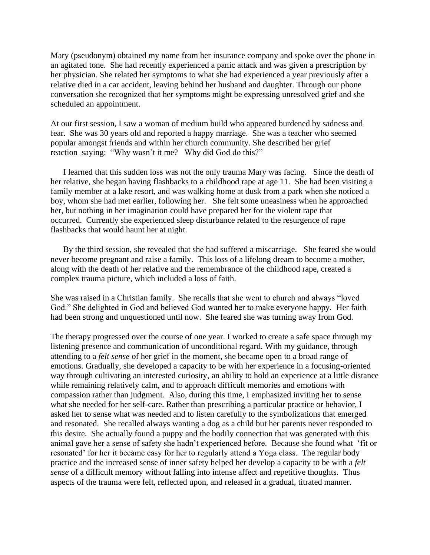Mary (pseudonym) obtained my name from her insurance company and spoke over the phone in an agitated tone. She had recently experienced a panic attack and was given a prescription by her physician. She related her symptoms to what she had experienced a year previously after a relative died in a car accident, leaving behind her husband and daughter. Through our phone conversation she recognized that her symptoms might be expressing unresolved grief and she scheduled an appointment.

At our first session, I saw a woman of medium build who appeared burdened by sadness and fear. She was 30 years old and reported a happy marriage. She was a teacher who seemed popular amongst friends and within her church community. She described her grief reaction saying: "Why wasn't it me? Why did God do this?"

 I learned that this sudden loss was not the only trauma Mary was facing. Since the death of her relative, she began having flashbacks to a childhood rape at age 11. She had been visiting a family member at a lake resort, and was walking home at dusk from a park when she noticed a boy, whom she had met earlier, following her. She felt some uneasiness when he approached her, but nothing in her imagination could have prepared her for the violent rape that occurred. Currently she experienced sleep disturbance related to the resurgence of rape flashbacks that would haunt her at night.

 By the third session, she revealed that she had suffered a miscarriage. She feared she would never become pregnant and raise a family. This loss of a lifelong dream to become a mother, along with the death of her relative and the remembrance of the childhood rape, created a complex trauma picture, which included a loss of faith.

She was raised in a Christian family. She recalls that she went to church and always "loved God." She delighted in God and believed God wanted her to make everyone happy. Her faith had been strong and unquestioned until now. She feared she was turning away from God.

The therapy progressed over the course of one year. I worked to create a safe space through my listening presence and communication of unconditional regard. With my guidance, through attending to a *felt sense* of her grief in the moment, she became open to a broad range of emotions. Gradually, she developed a capacity to be with her experience in a focusing-oriented way through cultivating an interested curiosity, an ability to hold an experience at a little distance while remaining relatively calm, and to approach difficult memories and emotions with compassion rather than judgment. Also, during this time, I emphasized inviting her to sense what she needed for her self-care. Rather than prescribing a particular practice or behavior, I asked her to sense what was needed and to listen carefully to the symbolizations that emerged and resonated. She recalled always wanting a dog as a child but her parents never responded to this desire. She actually found a puppy and the bodily connection that was generated with this animal gave her a sense of safety she hadn't experienced before. Because she found what 'fit or resonated' for her it became easy for her to regularly attend a Yoga class. The regular body practice and the increased sense of inner safety helped her develop a capacity to be with a *felt sense* of a difficult memory without falling into intense affect and repetitive thoughts. Thus aspects of the trauma were felt, reflected upon, and released in a gradual, titrated manner.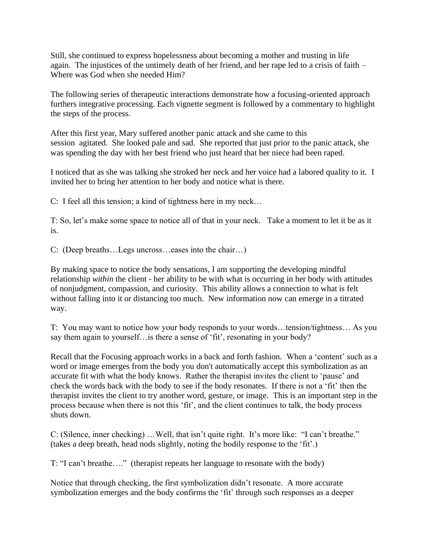Still, she continued to express hopelessness about becoming a mother and trusting in life again. The injustices of the untimely death of her friend, and her rape led to a crisis of faith – Where was God when she needed Him?

The following series of therapeutic interactions demonstrate how a focusing-oriented approach furthers integrative processing. Each vignette segment is followed by a commentary to highlight the steps of the process.

After this first year, Mary suffered another panic attack and she came to this session agitated. She looked pale and sad. She reported that just prior to the panic attack, she was spending the day with her best friend who just heard that her niece had been raped.

I noticed that as she was talking she stroked her neck and her voice had a labored quality to it. I invited her to bring her attention to her body and notice what is there.

C: I feel all this tension; a kind of tightness here in my neck…

T: So, let's make some space to notice all of that in your neck. Take a moment to let it be as it is.

C: (Deep breaths…Legs uncross…eases into the chair…)

By making space to notice the body sensations, I am supporting the developing mindful relationship *within* the client - her ability to be with what is occurring in her body with attitudes of nonjudgment, compassion, and curiosity. This ability allows a connection to what is felt without falling into it or distancing too much. New information now can emerge in a titrated way.

T: You may want to notice how your body responds to your words…tension/tightness… As you say them again to yourself…is there a sense of 'fit', resonating in your body?

Recall that the Focusing approach works in a back and forth fashion. When a 'content' such as a word or image emerges from the body you don't automatically accept this symbolization as an accurate fit with what the body knows. Rather the therapist invites the client to 'pause' and check the words back with the body to see if the body resonates. If there is not a 'fit' then the therapist invites the client to try another word, gesture, or image. This is an important step in the process because when there is not this 'fit', and the client continues to talk, the body process shuts down.

C: (Silence, inner checking) …Well, that isn't quite right. It's more like: "I can't breathe." (takes a deep breath, head nods slightly, noting the bodily response to the 'fit'.)

T: "I can't breathe…." (therapist repeats her language to resonate with the body)

Notice that through checking, the first symbolization didn't resonate. A more accurate symbolization emerges and the body confirms the 'fit' through such responses as a deeper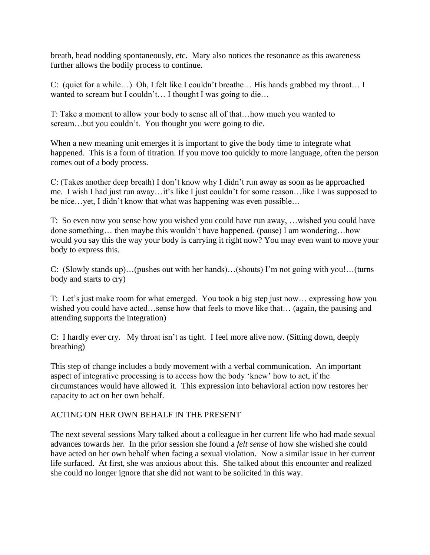breath, head nodding spontaneously, etc. Mary also notices the resonance as this awareness further allows the bodily process to continue.

C: (quiet for a while…) Oh, I felt like I couldn't breathe… His hands grabbed my throat… I wanted to scream but I couldn't... I thought I was going to die...

T: Take a moment to allow your body to sense all of that…how much you wanted to scream…but you couldn't. You thought you were going to die.

When a new meaning unit emerges it is important to give the body time to integrate what happened. This is a form of titration. If you move too quickly to more language, often the person comes out of a body process.

C: (Takes another deep breath) I don't know why I didn't run away as soon as he approached me. I wish I had just run away…it's like I just couldn't for some reason…like I was supposed to be nice…yet, I didn't know that what was happening was even possible…

T: So even now you sense how you wished you could have run away, …wished you could have done something… then maybe this wouldn't have happened. (pause) I am wondering…how would you say this the way your body is carrying it right now? You may even want to move your body to express this.

C: (Slowly stands up)…(pushes out with her hands)…(shouts) I'm not going with you!…(turns body and starts to cry)

T: Let's just make room for what emerged. You took a big step just now… expressing how you wished you could have acted…sense how that feels to move like that… (again, the pausing and attending supports the integration)

C: I hardly ever cry. My throat isn't as tight. I feel more alive now. (Sitting down, deeply breathing)

This step of change includes a body movement with a verbal communication. An important aspect of integrative processing is to access how the body 'knew' how to act, if the circumstances would have allowed it. This expression into behavioral action now restores her capacity to act on her own behalf.

## ACTING ON HER OWN BEHALF IN THE PRESENT

The next several sessions Mary talked about a colleague in her current life who had made sexual advances towards her. In the prior session she found a *felt sense* of how she wished she could have acted on her own behalf when facing a sexual violation. Now a similar issue in her current life surfaced. At first, she was anxious about this. She talked about this encounter and realized she could no longer ignore that she did not want to be solicited in this way.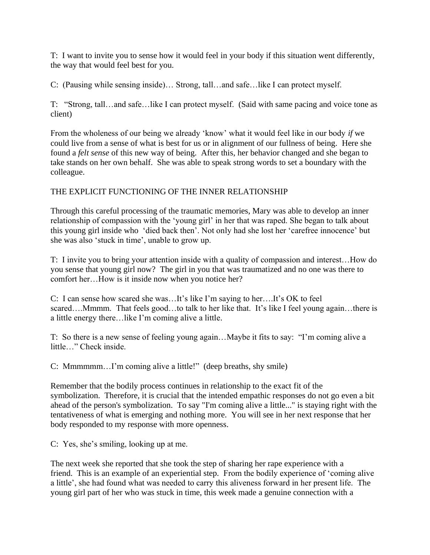T: I want to invite you to sense how it would feel in your body if this situation went differently, the way that would feel best for you.

C: (Pausing while sensing inside)… Strong, tall…and safe…like I can protect myself.

T: "Strong, tall…and safe…like I can protect myself. (Said with same pacing and voice tone as client)

From the wholeness of our being we already 'know' what it would feel like in our body *if* we could live from a sense of what is best for us or in alignment of our fullness of being. Here she found a *felt sense* of this new way of being. After this, her behavior changed and she began to take stands on her own behalf. She was able to speak strong words to set a boundary with the colleague.

## THE EXPLICIT FUNCTIONING OF THE INNER RELATIONSHIP

Through this careful processing of the traumatic memories, Mary was able to develop an inner relationship of compassion with the 'young girl' in her that was raped. She began to talk about this young girl inside who 'died back then'. Not only had she lost her 'carefree innocence' but she was also 'stuck in time', unable to grow up.

T: I invite you to bring your attention inside with a quality of compassion and interest…How do you sense that young girl now? The girl in you that was traumatized and no one was there to comfort her…How is it inside now when you notice her?

C: I can sense how scared she was…It's like I'm saying to her….It's OK to feel scared....Mmmm. That feels good...to talk to her like that. It's like I feel young again...there is a little energy there…like I'm coming alive a little.

T: So there is a new sense of feeling young again…Maybe it fits to say: "I'm coming alive a little…" Check inside.

C: Mmmmmm…I'm coming alive a little!" (deep breaths, shy smile)

Remember that the bodily process continues in relationship to the exact fit of the symbolization. Therefore, it is crucial that the intended empathic responses do not go even a bit ahead of the person's symbolization. To say "I'm coming alive a little..." is staying right with the tentativeness of what is emerging and nothing more. You will see in her next response that her body responded to my response with more openness.

C: Yes, she's smiling, looking up at me.

The next week she reported that she took the step of sharing her rape experience with a friend. This is an example of an experiential step. From the bodily experience of 'coming alive a little', she had found what was needed to carry this aliveness forward in her present life. The young girl part of her who was stuck in time, this week made a genuine connection with a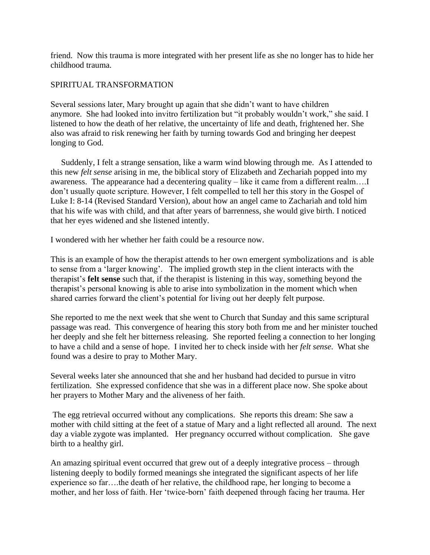friend. Now this trauma is more integrated with her present life as she no longer has to hide her childhood trauma.

#### SPIRITUAL TRANSFORMATION

Several sessions later, Mary brought up again that she didn't want to have children anymore. She had looked into invitro fertilization but "it probably wouldn't work," she said. I listened to how the death of her relative, the uncertainty of life and death, frightened her. She also was afraid to risk renewing her faith by turning towards God and bringing her deepest longing to God.

 Suddenly, I felt a strange sensation, like a warm wind blowing through me. As I attended to this new *felt sense* arising in me, the biblical story of Elizabeth and Zechariah popped into my awareness. The appearance had a decentering quality – like it came from a different realm….I don't usually quote scripture. However, I felt compelled to tell her this story in the Gospel of Luke I: 8-14 (Revised Standard Version), about how an angel came to Zachariah and told him that his wife was with child, and that after years of barrenness, she would give birth. I noticed that her eyes widened and she listened intently.

I wondered with her whether her faith could be a resource now.

This is an example of how the therapist attends to her own emergent symbolizations and is able to sense from a 'larger knowing'. The implied growth step in the client interacts with the therapist's **felt sense** such that, if the therapist is listening in this way, something beyond the therapist's personal knowing is able to arise into symbolization in the moment which when shared carries forward the client's potential for living out her deeply felt purpose.

She reported to me the next week that she went to Church that Sunday and this same scriptural passage was read. This convergence of hearing this story both from me and her minister touched her deeply and she felt her bitterness releasing. She reported feeling a connection to her longing to have a child and a sense of hope. I invited her to check inside with her *felt sense*. What she found was a desire to pray to Mother Mary.

Several weeks later she announced that she and her husband had decided to pursue in vitro fertilization. She expressed confidence that she was in a different place now. She spoke about her prayers to Mother Mary and the aliveness of her faith.

The egg retrieval occurred without any complications. She reports this dream: She saw a mother with child sitting at the feet of a statue of Mary and a light reflected all around. The next day a viable zygote was implanted. Her pregnancy occurred without complication. She gave birth to a healthy girl.

An amazing spiritual event occurred that grew out of a deeply integrative process – through listening deeply to bodily formed meanings she integrated the significant aspects of her life experience so far….the death of her relative, the childhood rape, her longing to become a mother, and her loss of faith. Her 'twice-born' faith deepened through facing her trauma. Her